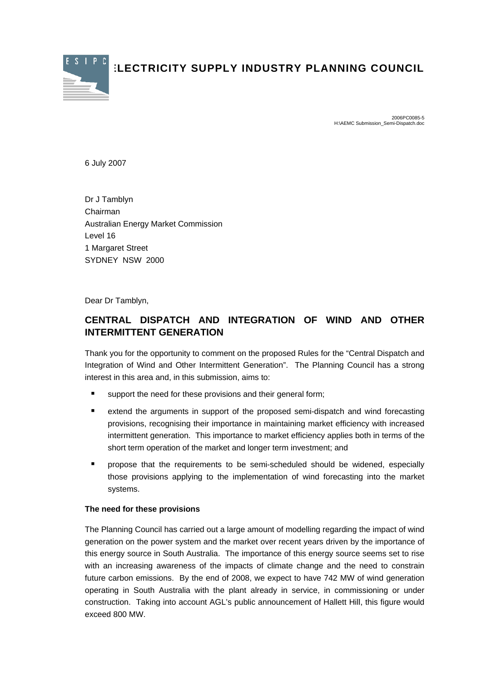

**ELECTRICITY SUPPLY INDUSTRY PLANNING COUNCIL** 

2006PC0085-5 H:\AEMC Submission\_Semi-Dispatch.doc

6 July 2007

Dr J Tamblyn Chairman Australian Energy Market Commission Level 16 1 Margaret Street SYDNEY NSW 2000

Dear Dr Tamblyn,

## **CENTRAL DISPATCH AND INTEGRATION OF WIND AND OTHER INTERMITTENT GENERATION**

Thank you for the opportunity to comment on the proposed Rules for the "Central Dispatch and Integration of Wind and Other Intermittent Generation". The Planning Council has a strong interest in this area and, in this submission, aims to:

- support the need for these provisions and their general form;
- extend the arguments in support of the proposed semi-dispatch and wind forecasting provisions, recognising their importance in maintaining market efficiency with increased intermittent generation. This importance to market efficiency applies both in terms of the short term operation of the market and longer term investment; and
- **P** propose that the requirements to be semi-scheduled should be widened, especially those provisions applying to the implementation of wind forecasting into the market systems.

## **The need for these provisions**

The Planning Council has carried out a large amount of modelling regarding the impact of wind generation on the power system and the market over recent years driven by the importance of this energy source in South Australia. The importance of this energy source seems set to rise with an increasing awareness of the impacts of climate change and the need to constrain future carbon emissions. By the end of 2008, we expect to have 742 MW of wind generation operating in South Australia with the plant already in service, in commissioning or under construction. Taking into account AGL's public announcement of Hallett Hill, this figure would exceed 800 MW.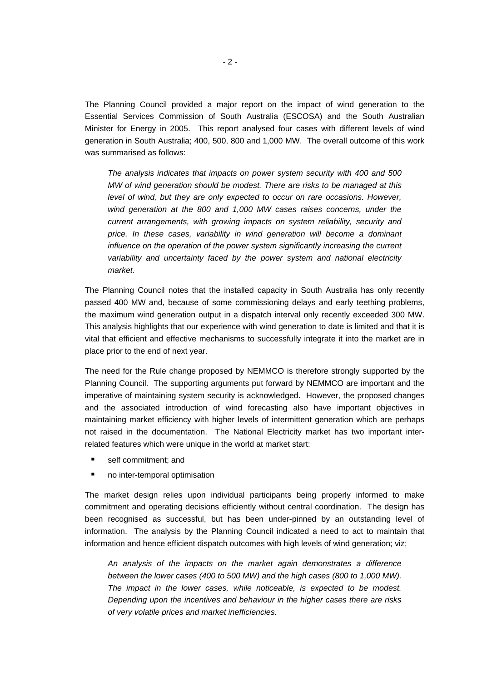The Planning Council provided a major report on the impact of wind generation to the Essential Services Commission of South Australia (ESCOSA) and the South Australian Minister for Energy in 2005. This report analysed four cases with different levels of wind generation in South Australia; 400, 500, 800 and 1,000 MW. The overall outcome of this work was summarised as follows:

*The analysis indicates that impacts on power system security with 400 and 500 MW of wind generation should be modest. There are risks to be managed at this level of wind, but they are only expected to occur on rare occasions. However, wind generation at the 800 and 1,000 MW cases raises concerns, under the current arrangements, with growing impacts on system reliability, security and price. In these cases, variability in wind generation will become a dominant influence on the operation of the power system significantly increasing the current variability and uncertainty faced by the power system and national electricity market.* 

The Planning Council notes that the installed capacity in South Australia has only recently passed 400 MW and, because of some commissioning delays and early teething problems, the maximum wind generation output in a dispatch interval only recently exceeded 300 MW. This analysis highlights that our experience with wind generation to date is limited and that it is vital that efficient and effective mechanisms to successfully integrate it into the market are in place prior to the end of next year.

The need for the Rule change proposed by NEMMCO is therefore strongly supported by the Planning Council. The supporting arguments put forward by NEMMCO are important and the imperative of maintaining system security is acknowledged. However, the proposed changes and the associated introduction of wind forecasting also have important objectives in maintaining market efficiency with higher levels of intermittent generation which are perhaps not raised in the documentation. The National Electricity market has two important interrelated features which were unique in the world at market start:

- **self commitment; and**
- no inter-temporal optimisation

The market design relies upon individual participants being properly informed to make commitment and operating decisions efficiently without central coordination. The design has been recognised as successful, but has been under-pinned by an outstanding level of information. The analysis by the Planning Council indicated a need to act to maintain that information and hence efficient dispatch outcomes with high levels of wind generation; viz;

*An analysis of the impacts on the market again demonstrates a difference between the lower cases (400 to 500 MW) and the high cases (800 to 1,000 MW). The impact in the lower cases, while noticeable, is expected to be modest. Depending upon the incentives and behaviour in the higher cases there are risks of very volatile prices and market inefficiencies.*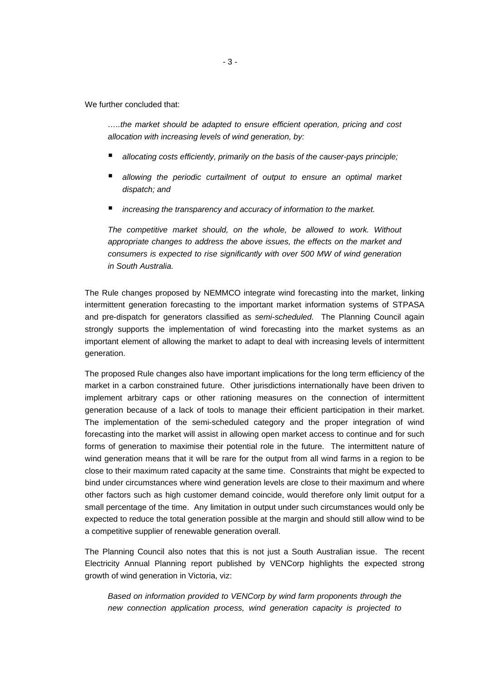We further concluded that:

*…..the market should be adapted to ensure efficient operation, pricing and cost allocation with increasing levels of wind generation, by:* 

- *allocating costs efficiently, primarily on the basis of the causer-pays principle;*
- *allowing the periodic curtailment of output to ensure an optimal market dispatch; and*
- *increasing the transparency and accuracy of information to the market.*

*The competitive market should, on the whole, be allowed to work. Without appropriate changes to address the above issues, the effects on the market and consumers is expected to rise significantly with over 500 MW of wind generation in South Australia.* 

The Rule changes proposed by NEMMCO integrate wind forecasting into the market, linking intermittent generation forecasting to the important market information systems of STPASA and pre-dispatch for generators classified as *semi-scheduled.* The Planning Council again strongly supports the implementation of wind forecasting into the market systems as an important element of allowing the market to adapt to deal with increasing levels of intermittent generation.

The proposed Rule changes also have important implications for the long term efficiency of the market in a carbon constrained future. Other jurisdictions internationally have been driven to implement arbitrary caps or other rationing measures on the connection of intermittent generation because of a lack of tools to manage their efficient participation in their market. The implementation of the semi-scheduled category and the proper integration of wind forecasting into the market will assist in allowing open market access to continue and for such forms of generation to maximise their potential role in the future. The intermittent nature of wind generation means that it will be rare for the output from all wind farms in a region to be close to their maximum rated capacity at the same time. Constraints that might be expected to bind under circumstances where wind generation levels are close to their maximum and where other factors such as high customer demand coincide, would therefore only limit output for a small percentage of the time. Any limitation in output under such circumstances would only be expected to reduce the total generation possible at the margin and should still allow wind to be a competitive supplier of renewable generation overall.

The Planning Council also notes that this is not just a South Australian issue. The recent Electricity Annual Planning report published by VENCorp highlights the expected strong growth of wind generation in Victoria, viz:

*Based on information provided to VENCorp by wind farm proponents through the new connection application process, wind generation capacity is projected to*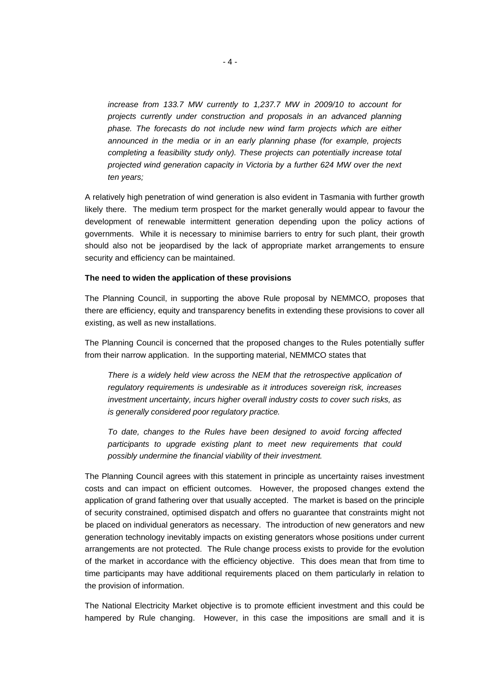*increase from 133.7 MW currently to 1,237.7 MW in 2009/10 to account for projects currently under construction and proposals in an advanced planning phase. The forecasts do not include new wind farm projects which are either announced in the media or in an early planning phase (for example, projects completing a feasibility study only). These projects can potentially increase total projected wind generation capacity in Victoria by a further 624 MW over the next ten years;* 

A relatively high penetration of wind generation is also evident in Tasmania with further growth likely there. The medium term prospect for the market generally would appear to favour the development of renewable intermittent generation depending upon the policy actions of governments. While it is necessary to minimise barriers to entry for such plant, their growth should also not be jeopardised by the lack of appropriate market arrangements to ensure security and efficiency can be maintained.

## **The need to widen the application of these provisions**

The Planning Council, in supporting the above Rule proposal by NEMMCO, proposes that there are efficiency, equity and transparency benefits in extending these provisions to cover all existing, as well as new installations.

The Planning Council is concerned that the proposed changes to the Rules potentially suffer from their narrow application. In the supporting material, NEMMCO states that

*There is a widely held view across the NEM that the retrospective application of regulatory requirements is undesirable as it introduces sovereign risk, increases investment uncertainty, incurs higher overall industry costs to cover such risks, as is generally considered poor regulatory practice.* 

*To date, changes to the Rules have been designed to avoid forcing affected participants to upgrade existing plant to meet new requirements that could possibly undermine the financial viability of their investment.* 

The Planning Council agrees with this statement in principle as uncertainty raises investment costs and can impact on efficient outcomes. However, the proposed changes extend the application of grand fathering over that usually accepted. The market is based on the principle of security constrained, optimised dispatch and offers no guarantee that constraints might not be placed on individual generators as necessary. The introduction of new generators and new generation technology inevitably impacts on existing generators whose positions under current arrangements are not protected. The Rule change process exists to provide for the evolution of the market in accordance with the efficiency objective. This does mean that from time to time participants may have additional requirements placed on them particularly in relation to the provision of information.

The National Electricity Market objective is to promote efficient investment and this could be hampered by Rule changing. However, in this case the impositions are small and it is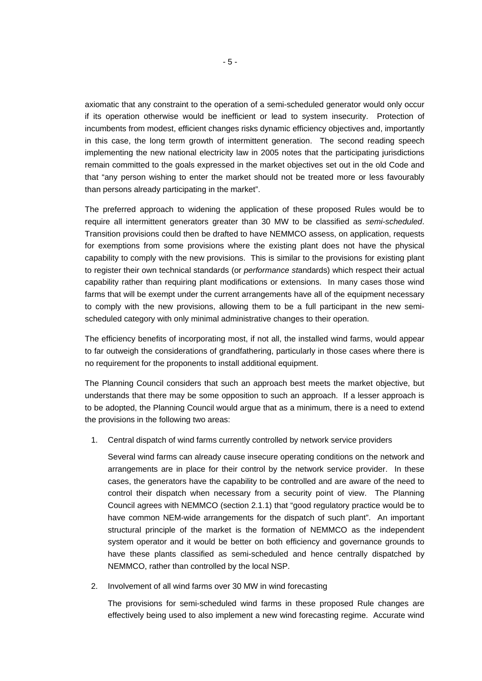axiomatic that any constraint to the operation of a semi-scheduled generator would only occur if its operation otherwise would be inefficient or lead to system insecurity. Protection of incumbents from modest, efficient changes risks dynamic efficiency objectives and, importantly in this case, the long term growth of intermittent generation. The second reading speech implementing the new national electricity law in 2005 notes that the participating jurisdictions remain committed to the goals expressed in the market objectives set out in the old Code and that "any person wishing to enter the market should not be treated more or less favourably than persons already participating in the market".

The preferred approach to widening the application of these proposed Rules would be to require all intermittent generators greater than 30 MW to be classified as *semi-scheduled*. Transition provisions could then be drafted to have NEMMCO assess, on application, requests for exemptions from some provisions where the existing plant does not have the physical capability to comply with the new provisions. This is similar to the provisions for existing plant to register their own technical standards (or *performance st*andards) which respect their actual capability rather than requiring plant modifications or extensions. In many cases those wind farms that will be exempt under the current arrangements have all of the equipment necessary to comply with the new provisions, allowing them to be a full participant in the new semischeduled category with only minimal administrative changes to their operation.

The efficiency benefits of incorporating most, if not all, the installed wind farms, would appear to far outweigh the considerations of grandfathering, particularly in those cases where there is no requirement for the proponents to install additional equipment.

The Planning Council considers that such an approach best meets the market objective, but understands that there may be some opposition to such an approach. If a lesser approach is to be adopted, the Planning Council would argue that as a minimum, there is a need to extend the provisions in the following two areas:

1. Central dispatch of wind farms currently controlled by network service providers

Several wind farms can already cause insecure operating conditions on the network and arrangements are in place for their control by the network service provider. In these cases, the generators have the capability to be controlled and are aware of the need to control their dispatch when necessary from a security point of view. The Planning Council agrees with NEMMCO (section 2.1.1) that "good regulatory practice would be to have common NEM-wide arrangements for the dispatch of such plant". An important structural principle of the market is the formation of NEMMCO as the independent system operator and it would be better on both efficiency and governance grounds to have these plants classified as semi-scheduled and hence centrally dispatched by NEMMCO, rather than controlled by the local NSP.

2. Involvement of all wind farms over 30 MW in wind forecasting

The provisions for semi-scheduled wind farms in these proposed Rule changes are effectively being used to also implement a new wind forecasting regime. Accurate wind